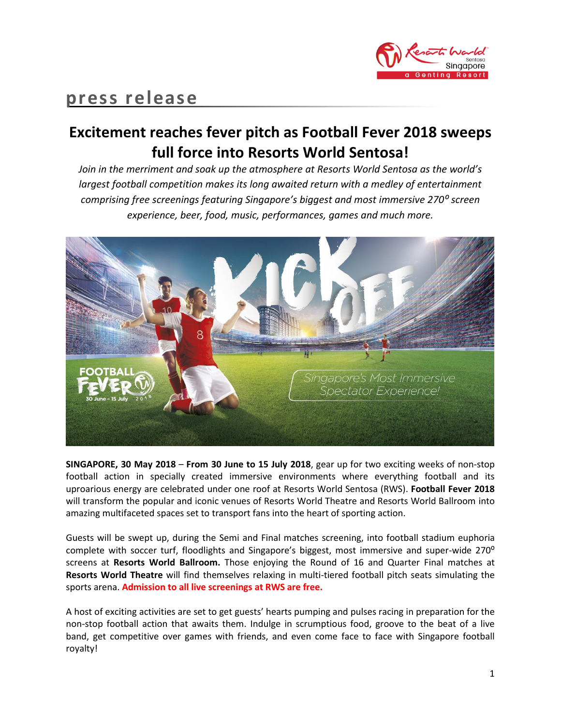

# **press release**

# **Excitement reaches fever pitch as Football Fever 2018 sweeps full force into Resorts World Sentosa!**

*Join in the merriment and soak up the atmosphere at Resorts World Sentosa as the world's largest football competition makes its long awaited return with a medley of entertainment comprising free screenings featuring Singapore's biggest and most immersive 270⁰ screen experience, beer, food, music, performances, games and much more.*



**SINGAPORE, 30 May 2018** – **From 30 June to 15 July 2018**, gear up for two exciting weeks of non-stop football action in specially created immersive environments where everything football and its uproarious energy are celebrated under one roof at Resorts World Sentosa (RWS). **Football Fever 2018** will transform the popular and iconic venues of Resorts World Theatre and Resorts World Ballroom into amazing multifaceted spaces set to transport fans into the heart of sporting action.

Guests will be swept up, during the Semi and Final matches screening, into football stadium euphoria complete with soccer turf, floodlights and Singapore's biggest, most immersive and super-wide 270<sup>o</sup> screens at **Resorts World Ballroom.** Those enjoying the Round of 16 and Quarter Final matches at **Resorts World Theatre** will find themselves relaxing in multi-tiered football pitch seats simulating the sports arena. **Admission to all live screenings at RWS are free.**

A host of exciting activities are set to get guests' hearts pumping and pulses racing in preparation for the non-stop football action that awaits them. Indulge in scrumptious food, groove to the beat of a live band, get competitive over games with friends, and even come face to face with Singapore football royalty!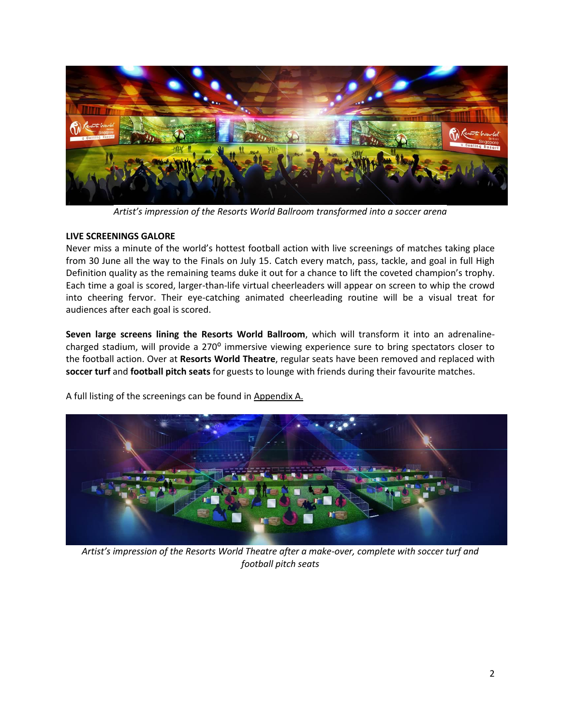

*Artist's impression of the Resorts World Ballroom transformed into a soccer arena*

#### **LIVE SCREENINGS GALORE**

Never miss a minute of the world's hottest football action with live screenings of matches taking place from 30 June all the way to the Finals on July 15. Catch every match, pass, tackle, and goal in full High Definition quality as the remaining teams duke it out for a chance to lift the coveted champion's trophy. Each time a goal is scored, larger-than-life virtual cheerleaders will appear on screen to whip the crowd into cheering fervor. Their eye-catching animated cheerleading routine will be a visual treat for audiences after each goal is scored.

**Seven large screens lining the Resorts World Ballroom**, which will transform it into an adrenalinecharged stadium, will provide a 270° immersive viewing experience sure to bring spectators closer to the football action. Over at **Resorts World Theatre**, regular seats have been removed and replaced with **soccer turf** and **football pitch seats** for guests to lounge with friends during their favourite matches.





*Artist's impression of the Resorts World Theatre after a make-over, complete with soccer turf and football pitch seats*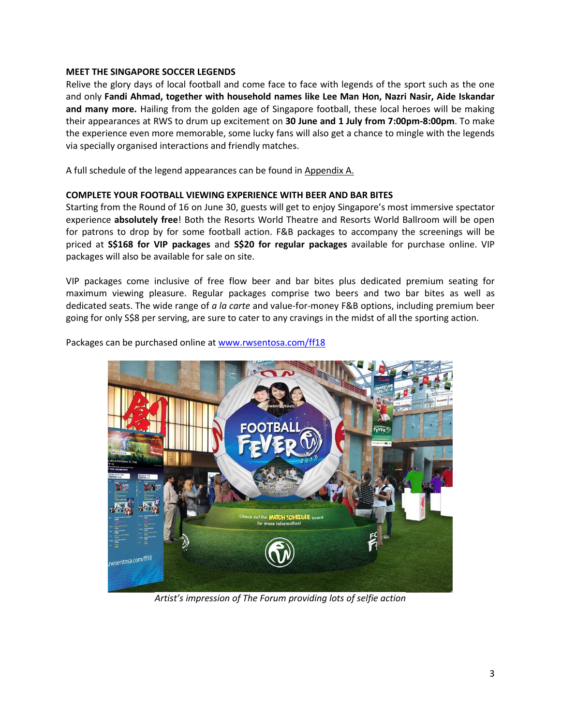#### **MEET THE SINGAPORE SOCCER LEGENDS**

Relive the glory days of local football and come face to face with legends of the sport such as the one and only **Fandi Ahmad, together with household names like Lee Man Hon, Nazri Nasir, Aide Iskandar and many more.** Hailing from the golden age of Singapore football, these local heroes will be making their appearances at RWS to drum up excitement on **30 June and 1 July from 7:00pm-8:00pm**. To make the experience even more memorable, some lucky fans will also get a chance to mingle with the legends via specially organised interactions and friendly matches.

A full schedule of the legend appearances can be found in Appendix A.

#### **COMPLETE YOUR FOOTBALL VIEWING EXPERIENCE WITH BEER AND BAR BITES**

Starting from the Round of 16 on June 30, guests will get to enjoy Singapore's most immersive spectator experience **absolutely free**! Both the Resorts World Theatre and Resorts World Ballroom will be open for patrons to drop by for some football action. F&B packages to accompany the screenings will be priced at **S\$168 for VIP packages** and **S\$20 for regular packages** available for purchase online. VIP packages will also be available for sale on site.

VIP packages come inclusive of free flow beer and bar bites plus dedicated premium seating for maximum viewing pleasure. Regular packages comprise two beers and two bar bites as well as dedicated seats. The wide range of *a la carte* and value-for-money F&B options, including premium beer going for only S\$8 per serving, are sure to cater to any cravings in the midst of all the sporting action.

Packages can be purchased online at [www.rwsentosa.com/ff18](https://www.rwsentosa.com/ff18)



*Artist's impression of The Forum providing lots of selfie action*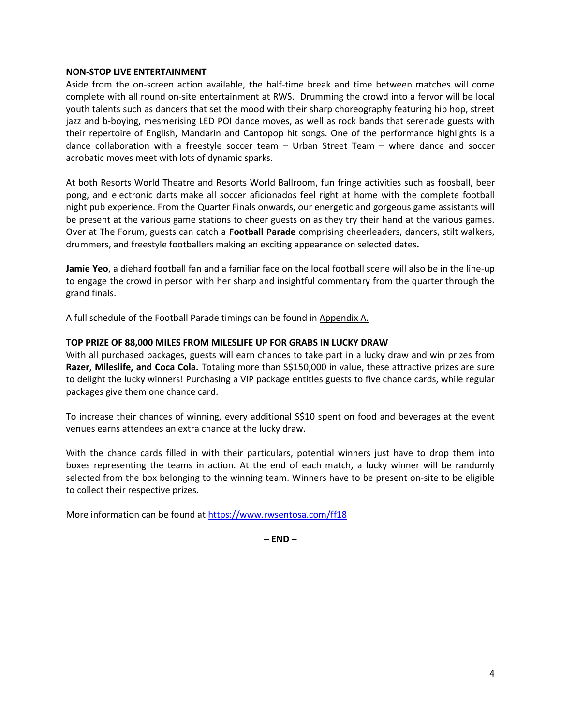#### **NON-STOP LIVE ENTERTAINMENT**

Aside from the on-screen action available, the half-time break and time between matches will come complete with all round on-site entertainment at RWS. Drumming the crowd into a fervor will be local youth talents such as dancers that set the mood with their sharp choreography featuring hip hop, street jazz and b-boying, mesmerising LED POI dance moves, as well as rock bands that serenade guests with their repertoire of English, Mandarin and Cantopop hit songs. One of the performance highlights is a dance collaboration with a freestyle soccer team – Urban Street Team – where dance and soccer acrobatic moves meet with lots of dynamic sparks.

At both Resorts World Theatre and Resorts World Ballroom, fun fringe activities such as foosball, beer pong, and electronic darts make all soccer aficionados feel right at home with the complete football night pub experience. From the Quarter Finals onwards, our energetic and gorgeous game assistants will be present at the various game stations to cheer guests on as they try their hand at the various games. Over at The Forum, guests can catch a **Football Parade** comprising cheerleaders, dancers, stilt walkers, drummers, and freestyle footballers making an exciting appearance on selected dates**.** 

**Jamie Yeo**, a diehard football fan and a familiar face on the local football scene will also be in the line-up to engage the crowd in person with her sharp and insightful commentary from the quarter through the grand finals.

A full schedule of the Football Parade timings can be found in Appendix A.

#### **TOP PRIZE OF 88,000 MILES FROM MILESLIFE UP FOR GRABS IN LUCKY DRAW**

With all purchased packages, guests will earn chances to take part in a lucky draw and win prizes from **Razer, Mileslife, and Coca Cola.** Totaling more than S\$150,000 in value, these attractive prizes are sure to delight the lucky winners! Purchasing a VIP package entitles guests to five chance cards, while regular packages give them one chance card.

To increase their chances of winning, every additional S\$10 spent on food and beverages at the event venues earns attendees an extra chance at the lucky draw.

With the chance cards filled in with their particulars, potential winners just have to drop them into boxes representing the teams in action. At the end of each match, a lucky winner will be randomly selected from the box belonging to the winning team. Winners have to be present on-site to be eligible to collect their respective prizes.

More information can be found at<https://www.rwsentosa.com/ff18>

**– END –**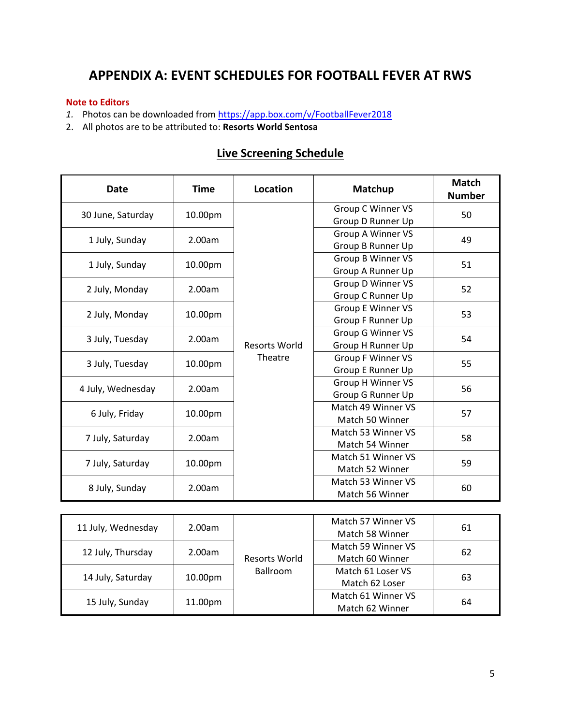## **APPENDIX A: EVENT SCHEDULES FOR FOOTBALL FEVER AT RWS**

#### **Note to Editors**

- 1. Photos can be downloaded from<https://app.box.com/v/FootballFever2018>
- 2. All photos are to be attributed to: **Resorts World Sentosa**

| <b>Date</b>       | <b>Time</b>                | Location                        | Matchup                  | <b>Match</b><br><b>Number</b> |
|-------------------|----------------------------|---------------------------------|--------------------------|-------------------------------|
|                   |                            | <b>Resorts World</b><br>Theatre | Group C Winner VS        | 50                            |
| 30 June, Saturday | 10.00pm                    |                                 | Group D Runner Up        |                               |
|                   | 2.00am                     |                                 | Group A Winner VS        | 49                            |
| 1 July, Sunday    |                            |                                 | Group B Runner Up        |                               |
| 1 July, Sunday    | 10.00pm                    |                                 | Group B Winner VS        | 51                            |
|                   |                            |                                 | Group A Runner Up        |                               |
| 2 July, Monday    | 2.00am                     |                                 | Group D Winner VS        | 52                            |
|                   |                            |                                 | Group C Runner Up        |                               |
| 2 July, Monday    |                            |                                 | Group E Winner VS        | 53                            |
|                   | 10.00pm                    |                                 | Group F Runner Up        |                               |
|                   | 3 July, Tuesday<br>2.00am  |                                 | Group G Winner VS        | 54                            |
|                   |                            |                                 | Group H Runner Up        |                               |
|                   | 3 July, Tuesday<br>10.00pm |                                 | <b>Group F Winner VS</b> | 55                            |
|                   |                            |                                 | Group E Runner Up        |                               |
| 4 July, Wednesday | 2.00am                     |                                 | Group H Winner VS        | 56                            |
|                   |                            |                                 | Group G Runner Up        |                               |
|                   | 10.00pm                    |                                 | Match 49 Winner VS       | 57                            |
| 6 July, Friday    |                            |                                 | Match 50 Winner          |                               |
|                   | 2.00am                     |                                 | Match 53 Winner VS       | 58                            |
| 7 July, Saturday  |                            |                                 | Match 54 Winner          |                               |
| 7 July, Saturday  |                            |                                 | Match 51 Winner VS       | 59                            |
|                   | 10.00pm                    |                                 | Match 52 Winner          |                               |
| 8 July, Sunday    | 2.00am                     |                                 | Match 53 Winner VS       | 60                            |
|                   |                            |                                 | Match 56 Winner          |                               |

## **Live Screening Schedule**

| 11 July, Wednesday | 2.00am              | Resorts World<br><b>Ballroom</b> | Match 57 Winner VS<br>Match 58 Winner | 61 |
|--------------------|---------------------|----------------------------------|---------------------------------------|----|
| 12 July, Thursday  | 2.00am              |                                  | Match 59 Winner VS                    | 62 |
|                    |                     |                                  | Match 60 Winner                       |    |
| 14 July, Saturday  | 10.00 <sub>pm</sub> |                                  | Match 61 Loser VS                     | 63 |
|                    |                     |                                  | Match 62 Loser                        |    |
| 15 July, Sunday    | 11.00pm             |                                  | Match 61 Winner VS                    | 64 |
|                    |                     |                                  | Match 62 Winner                       |    |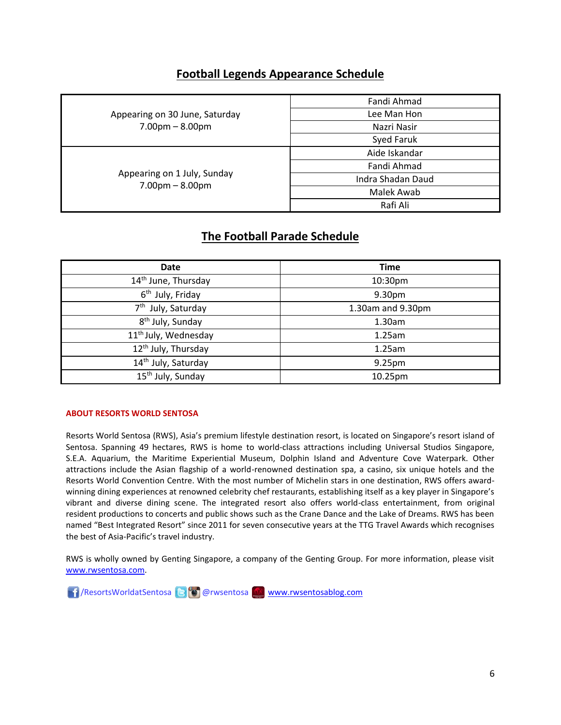### **Football Legends Appearance Schedule**

| Appearing on 30 June, Saturday<br>$7.00pm - 8.00pm$ | Fandi Ahmad       |
|-----------------------------------------------------|-------------------|
|                                                     | Lee Man Hon       |
|                                                     | Nazri Nasir       |
|                                                     | Syed Faruk        |
| Appearing on 1 July, Sunday<br>$7.00pm - 8.00pm$    | Aide Iskandar     |
|                                                     | Fandi Ahmad       |
|                                                     | Indra Shadan Daud |
|                                                     | Malek Awab        |
|                                                     | Rafi Ali          |
|                                                     |                   |

### **The Football Parade Schedule**

| <b>Date</b>                      | <b>Time</b>       |
|----------------------------------|-------------------|
| 14 <sup>th</sup> June, Thursday  | 10:30pm           |
| 6 <sup>th</sup> July, Friday     | 9.30pm            |
| 7 <sup>th</sup> July, Saturday   | 1.30am and 9.30pm |
| 8 <sup>th</sup> July, Sunday     | 1.30am            |
| 11 <sup>th</sup> July, Wednesday | 1.25am            |
| 12 <sup>th</sup> July, Thursday  | 1.25am            |
| 14 <sup>th</sup> July, Saturday  | 9.25pm            |
| 15 <sup>th</sup> July, Sunday    | 10.25pm           |

#### **ABOUT RESORTS WORLD SENTOSA**

Resorts World Sentosa (RWS), Asia's premium lifestyle destination resort, is located on Singapore's resort island of Sentosa. Spanning 49 hectares, RWS is home to world-class attractions including Universal Studios Singapore, S.E.A. Aquarium, the Maritime Experiential Museum, Dolphin Island and Adventure Cove Waterpark. Other attractions include the Asian flagship of a world-renowned destination spa, a casino, six unique hotels and the Resorts World Convention Centre. With the most number of Michelin stars in one destination, RWS offers awardwinning dining experiences at renowned celebrity chef restaurants, establishing itself as a key player in Singapore's vibrant and diverse dining scene. The integrated resort also offers world-class entertainment, from original resident productions to concerts and public shows such as the Crane Dance and the Lake of Dreams. RWS has been named "Best Integrated Resort" since 2011 for seven consecutive years at the TTG Travel Awards which recognises the best of Asia-Pacific's travel industry.

RWS is wholly owned by Genting Singapore, a company of the Genting Group. For more information, please visit [www.rwsentosa.com.](http://www.rwsentosa.com/)

**11** /ResortsWorldatSentosa **B** @ rwsentosa [www.rwsentosablog.com](http://www.rwsentosablog.com/)